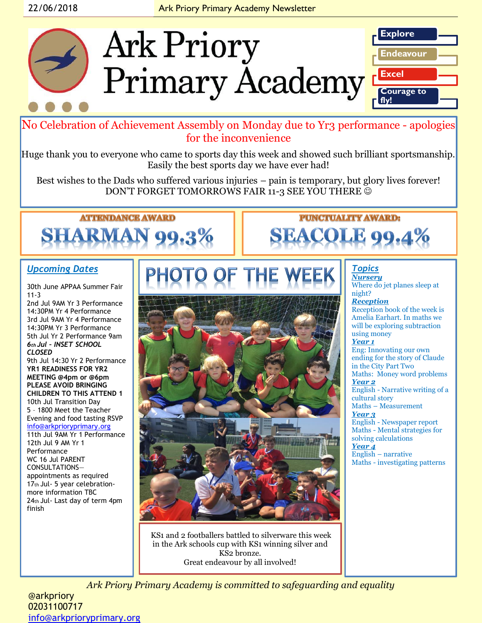

No Celebration of Achievement Assembly on Monday due to Yr3 performance - apologies for the inconvenience

Huge thank you to everyone who came to sports day this week and showed such brilliant sportsmanship. Easily the best sports day we have ever had!

Best wishes to the Dads who suffered various injuries – pain is temporary, but glory lives forever! DON'T FORGET TOMORROWS FAIR 11-3 SEE YOU THERE  $\odot$ 

# **ATTENDANCE AWARD** SHARMAN

### *Upcoming Dates*

30th June APPAA Summer Fair 11-3

2nd Jul 9AM Yr 3 Performance 14:30PM Yr 4 Performance 3rd Jul 9AM Yr 4 Performance 14:30PM Yr 3 Performance 5th Jul Yr 2 Performance 9am *6th Jul – INSET SCHOOL CLOSED*  9th Jul 14:30 Yr 2 Performance **YR1 READINESS FOR YR2 MEETING @4pm or @6pm PLEASE AVOID BRINGING CHILDREN TO THIS ATTEND 1** 10th Jul Transition Day 5 – 1800 Meet the Teacher Evening and food tasting RSVP [info@arkprioryprimary.org](mailto:info@arkprioryprimary.org) 11th Jul 9AM Yr 1 Performance

12th Jul 9 AM Yr 1 Performance WC 16 Jul PARENT CONSULTATIONS appointments as required 17th Jul- 5 year celebrationmore information TBC 24th Jul- Last day of term 4pm finish



**PUNCTUALITY AWARD: SEACOLE 99.4%** 

### *Topics Nursery*

Where do jet planes sleep at night?

*Reception*  Reception book of the week is Amelia Earhart. In maths we will be exploring subtraction using money *Year 1* Eng: Innovating our own ending for the story of Claude in the City Part Two Maths: Money word problems *Year 2* English - Narrative writing of a cultural story Maths – Measurement *Year 3* English - Newspaper report

Maths - Mental strategies for solving calculations *Year 4*

English – narrative Maths - investigating patterns

KS1 and 2 footballers battled to silverware this week in the Ark schools cup with KS1 winning silver and KS2 bronze. Great endeavour by all involved!

*Ark Priory Primary Academy is committed to safeguarding and equality* 

@arkpriory 02031100717 [info@arkprioryprimary.org](mailto:info@arkprioryprimary.org)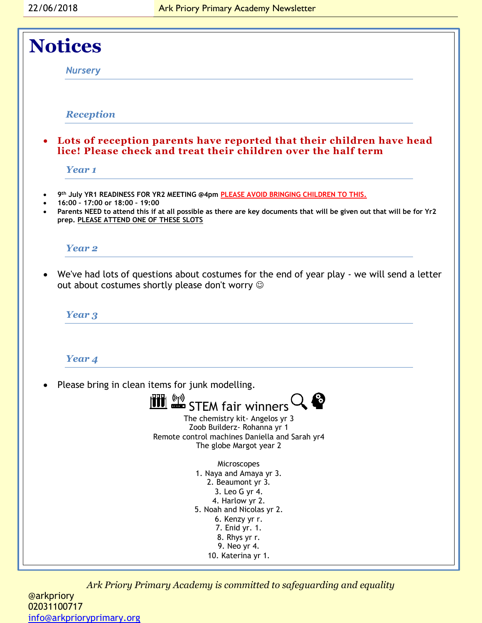

*Ark Priory Primary Academy is committed to safeguarding and equality* 

@arkpriory 02031100717 [info@arkprioryprimary.org](mailto:info@arkprioryprimary.org)